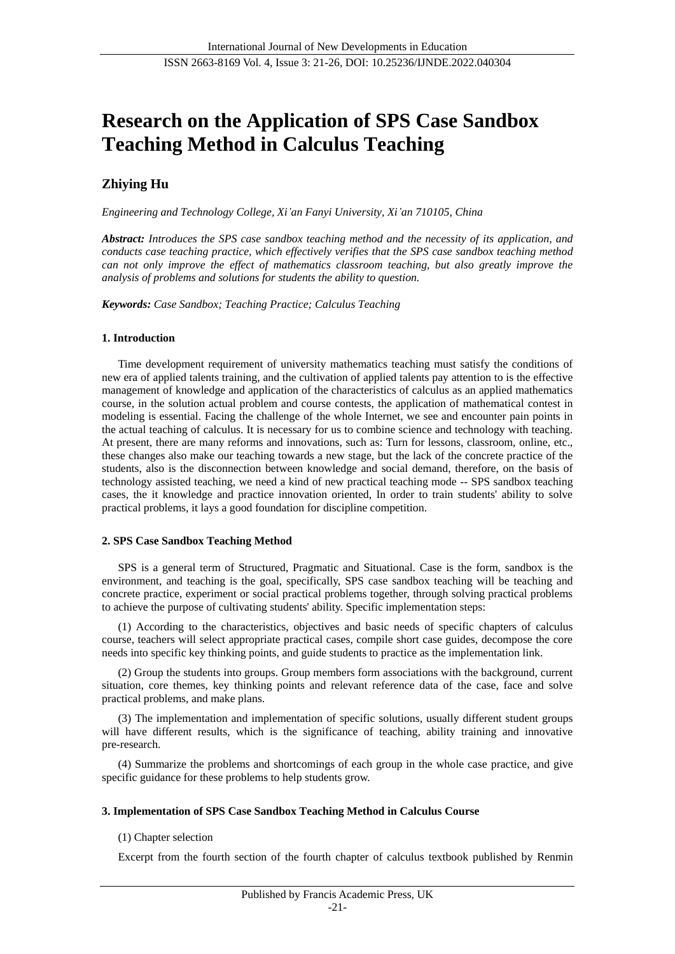# **Research on the Application of SPS Case Sandbox Teaching Method in Calculus Teaching**

## **Zhiying Hu**

*Engineering and Technology College, Xi'an Fanyi University, Xi'an 710105, China*

*Abstract: Introduces the SPS case sandbox teaching method and the necessity of its application, and conducts case teaching practice, which effectively verifies that the SPS case sandbox teaching method can not only improve the effect of mathematics classroom teaching, but also greatly improve the analysis of problems and solutions for students the ability to question.*

*Keywords: Case Sandbox; Teaching Practice; Calculus Teaching*

### **1. Introduction**

Time development requirement of university mathematics teaching must satisfy the conditions of new era of applied talents training, and the cultivation of applied talents pay attention to is the effective management of knowledge and application of the characteristics of calculus as an applied mathematics course, in the solution actual problem and course contests, the application of mathematical contest in modeling is essential. Facing the challenge of the whole Internet, we see and encounter pain points in the actual teaching of calculus. It is necessary for us to combine science and technology with teaching. At present, there are many reforms and innovations, such as: Turn for lessons, classroom, online, etc., these changes also make our teaching towards a new stage, but the lack of the concrete practice of the students, also is the disconnection between knowledge and social demand, therefore, on the basis of technology assisted teaching, we need a kind of new practical teaching mode -- SPS sandbox teaching cases, the it knowledge and practice innovation oriented, In order to train students' ability to solve practical problems, it lays a good foundation for discipline competition.

### **2. SPS Case Sandbox Teaching Method**

SPS is a general term of Structured, Pragmatic and Situational. Case is the form, sandbox is the environment, and teaching is the goal, specifically, SPS case sandbox teaching will be teaching and concrete practice, experiment or social practical problems together, through solving practical problems to achieve the purpose of cultivating students' ability. Specific implementation steps:

(1) According to the characteristics, objectives and basic needs of specific chapters of calculus course, teachers will select appropriate practical cases, compile short case guides, decompose the core needs into specific key thinking points, and guide students to practice as the implementation link.

(2) Group the students into groups. Group members form associations with the background, current situation, core themes, key thinking points and relevant reference data of the case, face and solve practical problems, and make plans.

(3) The implementation and implementation of specific solutions, usually different student groups will have different results, which is the significance of teaching, ability training and innovative pre-research.

(4) Summarize the problems and shortcomings of each group in the whole case practice, and give specific guidance for these problems to help students grow.

### **3. Implementation of SPS Case Sandbox Teaching Method in Calculus Course**

### (1) Chapter selection

Excerpt from the fourth section of the fourth chapter of calculus textbook published by Renmin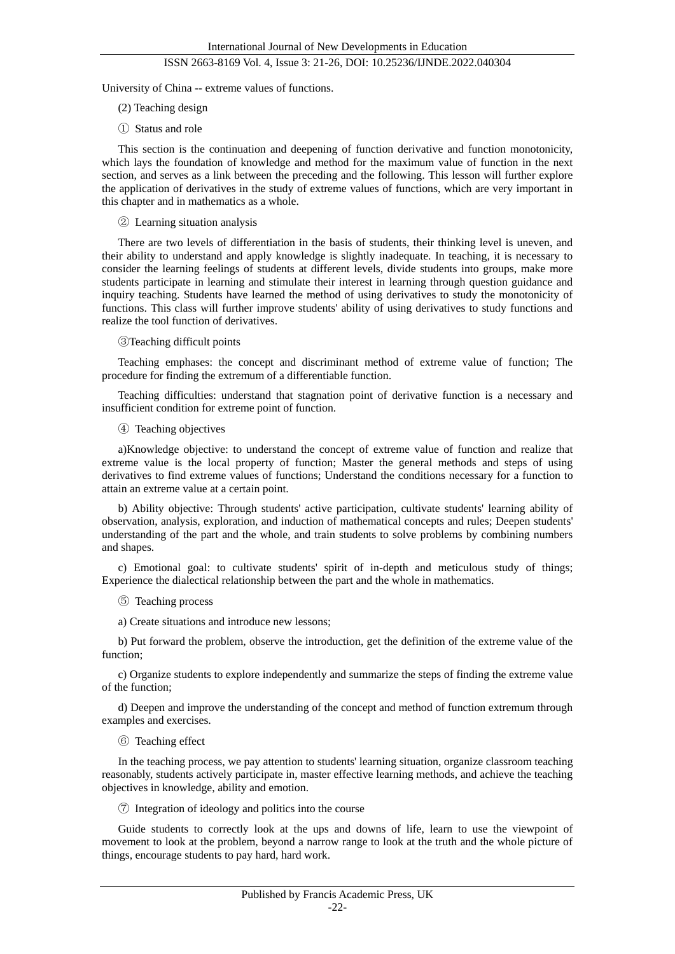University of China -- extreme values of functions.

- (2) Teaching design
- ① Status and role

This section is the continuation and deepening of function derivative and function monotonicity, which lays the foundation of knowledge and method for the maximum value of function in the next section, and serves as a link between the preceding and the following. This lesson will further explore the application of derivatives in the study of extreme values of functions, which are very important in this chapter and in mathematics as a whole.

#### ② Learning situation analysis

There are two levels of differentiation in the basis of students, their thinking level is uneven, and their ability to understand and apply knowledge is slightly inadequate. In teaching, it is necessary to consider the learning feelings of students at different levels, divide students into groups, make more students participate in learning and stimulate their interest in learning through question guidance and inquiry teaching. Students have learned the method of using derivatives to study the monotonicity of functions. This class will further improve students' ability of using derivatives to study functions and realize the tool function of derivatives.

③Teaching difficult points

Teaching emphases: the concept and discriminant method of extreme value of function; The procedure for finding the extremum of a differentiable function.

Teaching difficulties: understand that stagnation point of derivative function is a necessary and insufficient condition for extreme point of function.

④ Teaching objectives

a)Knowledge objective: to understand the concept of extreme value of function and realize that extreme value is the local property of function; Master the general methods and steps of using derivatives to find extreme values of functions; Understand the conditions necessary for a function to attain an extreme value at a certain point.

b) Ability objective: Through students' active participation, cultivate students' learning ability of observation, analysis, exploration, and induction of mathematical concepts and rules; Deepen students' understanding of the part and the whole, and train students to solve problems by combining numbers and shapes.

c) Emotional goal: to cultivate students' spirit of in-depth and meticulous study of things; Experience the dialectical relationship between the part and the whole in mathematics.

- ⑤ Teaching process
- a) Create situations and introduce new lessons;

b) Put forward the problem, observe the introduction, get the definition of the extreme value of the function;

c) Organize students to explore independently and summarize the steps of finding the extreme value of the function;

d) Deepen and improve the understanding of the concept and method of function extremum through examples and exercises.

⑥ Teaching effect

In the teaching process, we pay attention to students' learning situation, organize classroom teaching reasonably, students actively participate in, master effective learning methods, and achieve the teaching objectives in knowledge, ability and emotion.

⑦ Integration of ideology and politics into the course

Guide students to correctly look at the ups and downs of life, learn to use the viewpoint of movement to look at the problem, beyond a narrow range to look at the truth and the whole picture of things, encourage students to pay hard, hard work.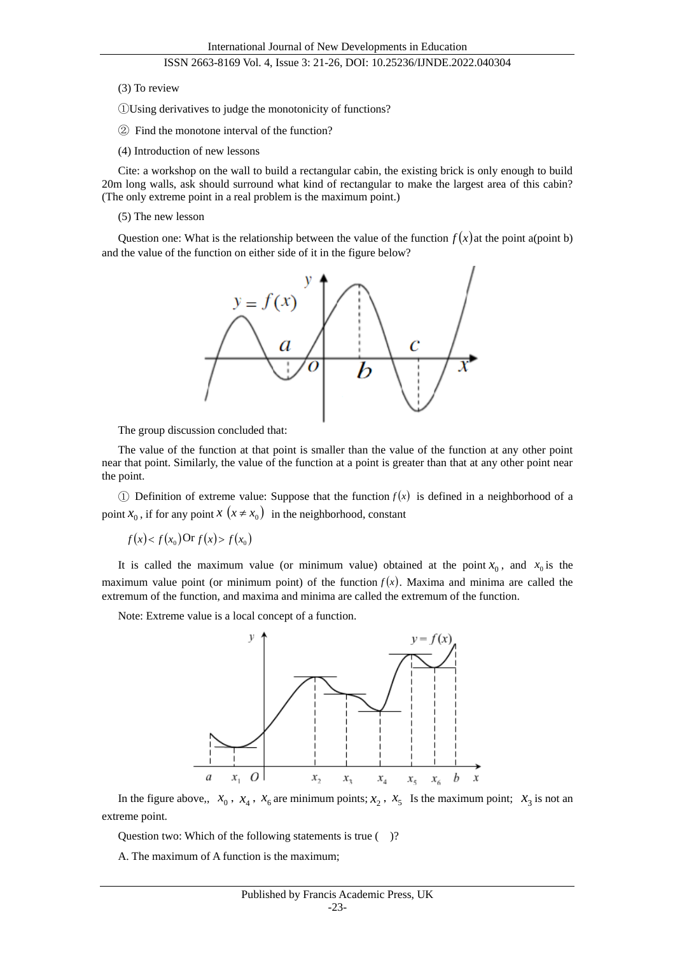#### (3) To review

①Using derivatives to judge the monotonicity of functions?

- ② Find the monotone interval of the function?
- (4) Introduction of new lessons

Cite: a workshop on the wall to build a rectangular cabin, the existing brick is only enough to build 20m long walls, ask should surround what kind of rectangular to make the largest area of this cabin? (The only extreme point in a real problem is the maximum point.)

(5) The new lesson

Question one: What is the relationship between the value of the function  $f(x)$  at the point a(point b) and the value of the function on either side of it in the figure below?



The group discussion concluded that:

The value of the function at that point is smaller than the value of the function at any other point near that point. Similarly, the value of the function at a point is greater than that at any other point near the point.

1) Definition of extreme value: Suppose that the function  $f(x)$  is defined in a neighborhood of a point  $x_0$ , if for any point  $x(x \neq x_0)$  in the neighborhood, constant

$$
f(x) < f(x_0) \text{Or } f(x) > f(x_0)
$$

It is called the maximum value (or minimum value) obtained at the point  $x_0$ , and  $x_0$  is the maximum value point (or minimum point) of the function  $f(x)$ . Maxima and minima are called the extremum of the function, and maxima and minima are called the extremum of the function.

Note: Extreme value is a local concept of a function.



In the figure above,,  $x_0$ ,  $x_4$ ,  $x_6$  are minimum points;  $x_2$ ,  $x_5$  Is the maximum point;  $x_3$  is not an extreme point.

Question two: Which of the following statements is true ()?

A. The maximum of A function is the maximum;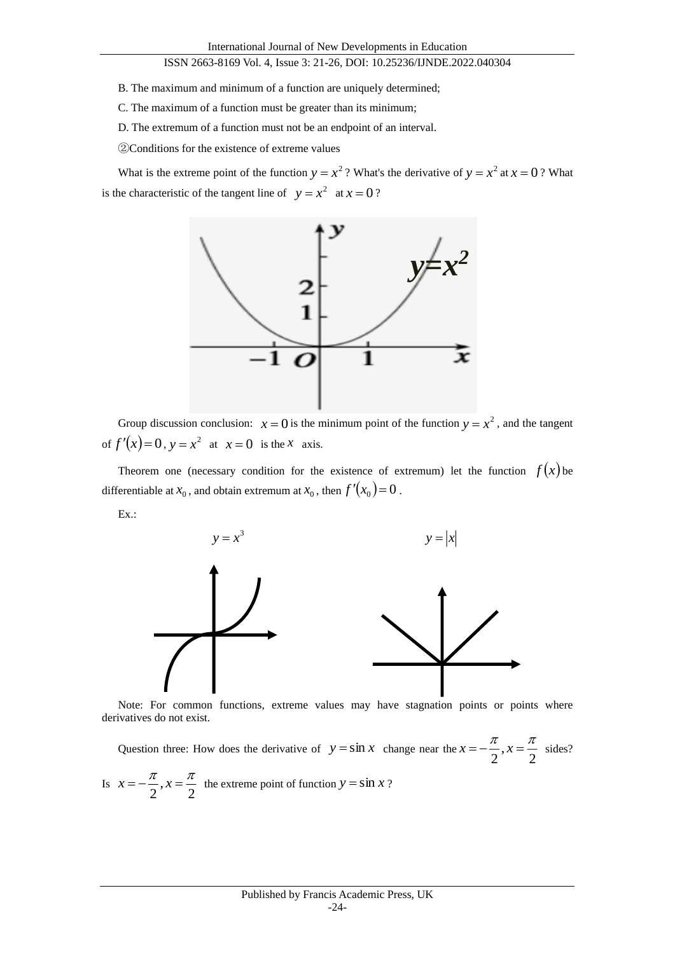- B. The maximum and minimum of a function are uniquely determined;
- C. The maximum of a function must be greater than its minimum;
- D. The extremum of a function must not be an endpoint of an interval.
- ②Conditions for the existence of extreme values

What is the extreme point of the function  $y = x^2$ ? What's the derivative of  $y = x^2$  at  $x = 0$ ? What is the characteristic of the tangent line of  $y = x^2$  at  $x = 0$ ?



Group discussion conclusion:  $x = 0$  is the minimum point of the function  $y = x^2$ , and the tangent of  $f'(x)=0$ ,  $y=x^2$  at  $x=0$  is the *x* axis.

Theorem one (necessary condition for the existence of extremum) let the function  $f(x)$  be differentiable at  $x_0$ , and obtain extremum at  $x_0$ , then  $f'(x_0) = 0$ .

Ex.:



Note: For common functions, extreme values may have stagnation points or points where derivatives do not exist.

Question three: How does the derivative of  $y = \sin x$  change near the  $x = -\frac{\pi}{2}$ ,  $x = \frac{\pi}{2}$  $x = -\frac{\pi}{\pi}, x = \frac{\pi}{\pi}$  sides? Is  $x = -\frac{\pi}{2}, x = \frac{\pi}{2}$  $x = -\frac{\pi}{\pi}, x = \frac{\pi}{\pi}$  the extreme point of function  $y = \sin x$ ?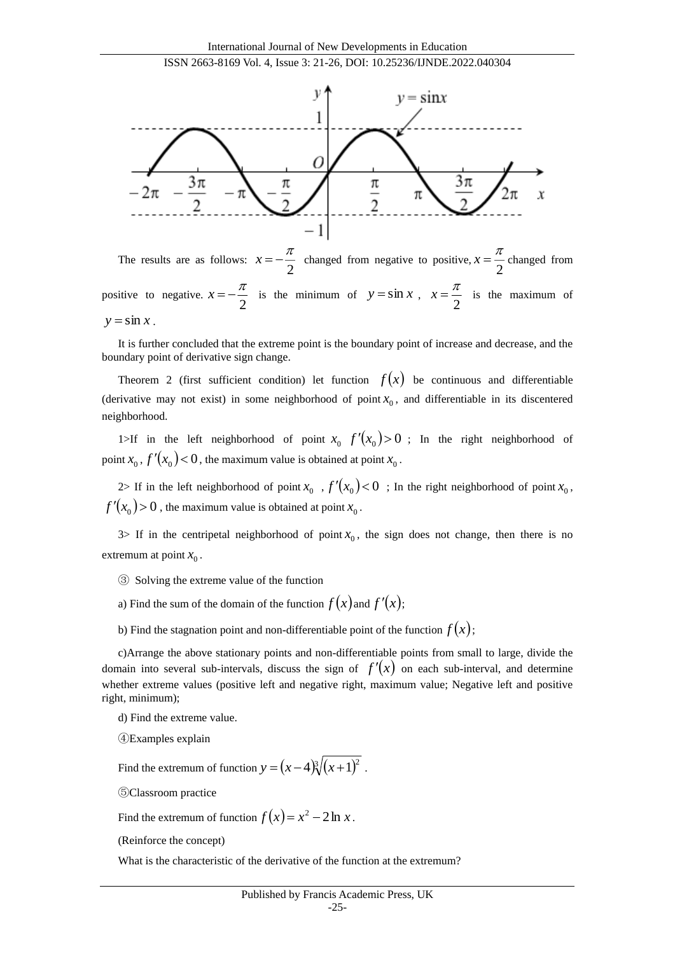

The results are as follows:  $x = -\frac{7}{2}$  $x = -\frac{\pi}{2}$  changed from negative to positive,  $x = \frac{\pi}{2}$  $x = \frac{\pi}{2}$  changed from positive to negative.  $x = -\frac{1}{2}$  $x = -\frac{\pi}{2}$  is the minimum of  $y = \sin x$ ,  $x = \frac{\pi}{2}$  $x = \frac{\pi}{\pi}$  is the maximum of  $y = \sin x$ .

It is further concluded that the extreme point is the boundary point of increase and decrease, and the boundary point of derivative sign change.

Theorem 2 (first sufficient condition) let function  $f(x)$  be continuous and differentiable (derivative may not exist) in some neighborhood of point  $x_0$ , and differentiable in its discentered neighborhood.

1>If in the left neighborhood of point  $x_0$   $f'(x_0) > 0$ ; In the right neighborhood of point  $x_0$  ,  $f'(x_0) < 0$ , the maximum value is obtained at point  $x_0$ .

2> If in the left neighborhood of point  $x_0$ ,  $f'(x_0) < 0$ ; In the right neighborhood of point  $x_0$ ,  $f'(x_0) > 0$ , the maximum value is obtained at point  $x_0$ .

3> If in the centripetal neighborhood of point  $x_0$ , the sign does not change, then there is no extremum at point  $x_0$ .

- ③ Solving the extreme value of the function
- a) Find the sum of the domain of the function  $f(x)$  and  $f'(x)$ ;
- b) Find the stagnation point and non-differentiable point of the function  $f(x)$ ;

c)Arrange the above stationary points and non-differentiable points from small to large, divide the domain into several sub-intervals, discuss the sign of  $f'(x)$  on each sub-interval, and determine whether extreme values (positive left and negative right, maximum value; Negative left and positive right, minimum);

d) Find the extreme value.

④Examples explain

Find the extremum of function  $y = (x-4)\sqrt[3]{(x+1)^2}$ .

⑤Classroom practice

Find the extremum of function  $f(x) = x^2 - 2 \ln x$ .

(Reinforce the concept)

What is the characteristic of the derivative of the function at the extremum?